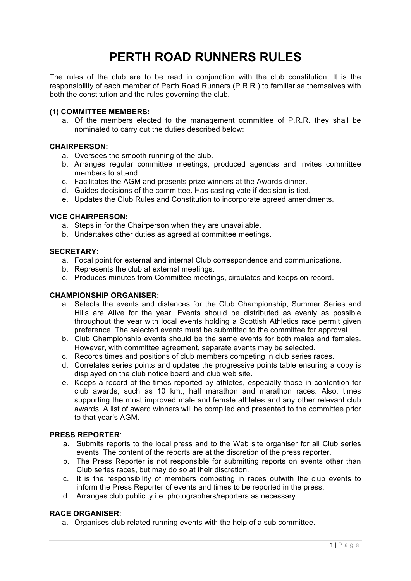# **PERTH ROAD RUNNERS RULES**

The rules of the club are to be read in conjunction with the club constitution. It is the responsibility of each member of Perth Road Runners (P.R.R.) to familiarise themselves with both the constitution and the rules governing the club.

## **(1) COMMITTEE MEMBERS:**

a. Of the members elected to the management committee of P.R.R. they shall be nominated to carry out the duties described below:

#### **CHAIRPERSON:**

- a. Oversees the smooth running of the club.
- b. Arranges regular committee meetings, produced agendas and invites committee members to attend.
- c. Facilitates the AGM and presents prize winners at the Awards dinner.
- d. Guides decisions of the committee. Has casting vote if decision is tied.
- e. Updates the Club Rules and Constitution to incorporate agreed amendments.

#### **VICE CHAIRPERSON:**

- a. Steps in for the Chairperson when they are unavailable.
- b. Undertakes other duties as agreed at committee meetings.

## **SECRETARY:**

- a. Focal point for external and internal Club correspondence and communications.
- b. Represents the club at external meetings.
- c. Produces minutes from Committee meetings, circulates and keeps on record.

#### **CHAMPIONSHIP ORGANISER:**

- a. Selects the events and distances for the Club Championship, Summer Series and Hills are Alive for the year. Events should be distributed as evenly as possible throughout the year with local events holding a Scottish Athletics race permit given preference. The selected events must be submitted to the committee for approval.
- b. Club Championship events should be the same events for both males and females. However, with committee agreement, separate events may be selected.
- c. Records times and positions of club members competing in club series races.
- d. Correlates series points and updates the progressive points table ensuring a copy is displayed on the club notice board and club web site.
- e. Keeps a record of the times reported by athletes, especially those in contention for club awards, such as 10 km., half marathon and marathon races. Also, times supporting the most improved male and female athletes and any other relevant club awards. A list of award winners will be compiled and presented to the committee prior to that year's AGM.

#### **PRESS REPORTER**:

- a. Submits reports to the local press and to the Web site organiser for all Club series events. The content of the reports are at the discretion of the press reporter.
- b. The Press Reporter is not responsible for submitting reports on events other than Club series races, but may do so at their discretion.
- c. It is the responsibility of members competing in races outwith the club events to inform the Press Reporter of events and times to be reported in the press.
- d. Arranges club publicity i.e. photographers/reporters as necessary.

# **RACE ORGANISER**:

a. Organises club related running events with the help of a sub committee.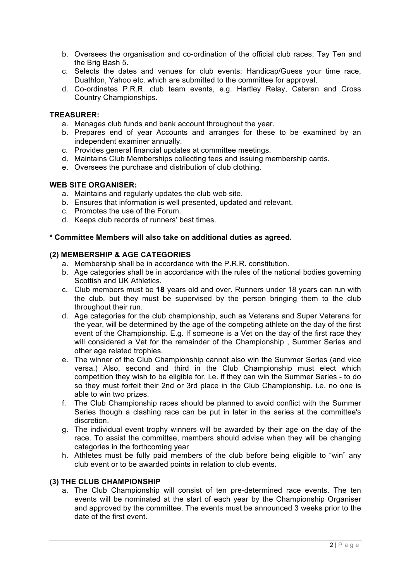- b. Oversees the organisation and co-ordination of the official club races; Tay Ten and the Brig Bash 5.
- c. Selects the dates and venues for club events: Handicap/Guess your time race, Duathlon, Yahoo etc. which are submitted to the committee for approval.
- d. Co-ordinates P.R.R. club team events, e.g. Hartley Relay, Cateran and Cross Country Championships.

## **TREASURER:**

- a. Manages club funds and bank account throughout the year.
- b. Prepares end of year Accounts and arranges for these to be examined by an independent examiner annually.
- c. Provides general financial updates at committee meetings.
- d. Maintains Club Memberships collecting fees and issuing membership cards.
- e. Oversees the purchase and distribution of club clothing.

## **WEB SITE ORGANISER:**

- a. Maintains and regularly updates the club web site.
- b. Ensures that information is well presented, updated and relevant.
- c. Promotes the use of the Forum.
- d. Keeps club records of runners' best times.

## **\* Committee Members will also take on additional duties as agreed.**

## **(2) MEMBERSHIP & AGE CATEGORIES**

- a. Membership shall be in accordance with the P.R.R. constitution.
- b. Age categories shall be in accordance with the rules of the national bodies governing Scottish and UK Athletics.
- c. Club members must be **18** years old and over. Runners under 18 years can run with the club, but they must be supervised by the person bringing them to the club throughout their run.
- d. Age categories for the club championship, such as Veterans and Super Veterans for the year, will be determined by the age of the competing athlete on the day of the first event of the Championship. E.g. If someone is a Vet on the day of the first race they will considered a Vet for the remainder of the Championship , Summer Series and other age related trophies.
- e. The winner of the Club Championship cannot also win the Summer Series (and vice versa.) Also, second and third in the Club Championship must elect which competition they wish to be eligible for, i.e. if they can win the Summer Series - to do so they must forfeit their 2nd or 3rd place in the Club Championship. i.e. no one is able to win two prizes.
- f. The Club Championship races should be planned to avoid conflict with the Summer Series though a clashing race can be put in later in the series at the committee's discretion.
- g. The individual event trophy winners will be awarded by their age on the day of the race. To assist the committee, members should advise when they will be changing categories in the forthcoming year
- h. Athletes must be fully paid members of the club before being eligible to "win" any club event or to be awarded points in relation to club events.

# **(3) THE CLUB CHAMPIONSHIP**

a. The Club Championship will consist of ten pre-determined race events. The ten events will be nominated at the start of each year by the Championship Organiser and approved by the committee. The events must be announced 3 weeks prior to the date of the first event.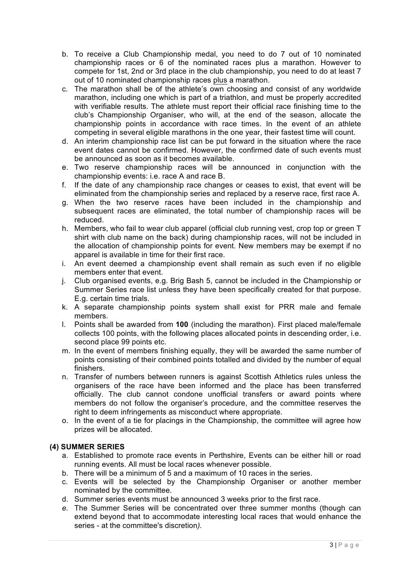- b. To receive a Club Championship medal, you need to do 7 out of 10 nominated championship races or 6 of the nominated races plus a marathon. However to compete for 1st, 2nd or 3rd place in the club championship, you need to do at least 7 out of 10 nominated championship races plus a marathon.
- c. The marathon shall be of the athlete's own choosing and consist of any worldwide marathon, including one which is part of a triathlon, and must be properly accredited with verifiable results. The athlete must report their official race finishing time to the club's Championship Organiser, who will, at the end of the season, allocate the championship points in accordance with race times. In the event of an athlete competing in several eligible marathons in the one year, their fastest time will count.
- d. An interim championship race list can be put forward in the situation where the race event dates cannot be confirmed. However, the confirmed date of such events must be announced as soon as it becomes available.
- e. Two reserve championship races will be announced in conjunction with the championship events: i.e. race A and race B.
- f. If the date of any championship race changes or ceases to exist, that event will be eliminated from the championship series and replaced by a reserve race, first race A.
- g. When the two reserve races have been included in the championship and subsequent races are eliminated, the total number of championship races will be reduced.
- h. Members, who fail to wear club apparel (official club running vest, crop top or green T shirt with club name on the back) during championship races, will not be included in the allocation of championship points for event. New members may be exempt if no apparel is available in time for their first race.
- i. An event deemed a championship event shall remain as such even if no eligible members enter that event.
- j. Club organised events, e.g. Brig Bash 5, cannot be included in the Championship or Summer Series race list unless they have been specifically created for that purpose. E.g. certain time trials.
- k. A separate championship points system shall exist for PRR male and female members.
- l. Points shall be awarded from **100** (including the marathon). First placed male/female collects 100 points, with the following places allocated points in descending order, i.e. second place 99 points etc.
- m. In the event of members finishing equally, they will be awarded the same number of points consisting of their combined points totalled and divided by the number of equal finishers.
- n. Transfer of numbers between runners is against Scottish Athletics rules unless the organisers of the race have been informed and the place has been transferred officially. The club cannot condone unofficial transfers or award points where members do not follow the organiser's procedure, and the committee reserves the right to deem infringements as misconduct where appropriate.
- o. In the event of a tie for placings in the Championship, the committee will agree how prizes will be allocated.

# **(4) SUMMER SERIES**

- a. Established to promote race events in Perthshire, Events can be either hill or road running events. All must be local races whenever possible.
- b. There will be a minimum of 5 and a maximum of 10 races in the series.
- c. Events will be selected by the Championship Organiser or another member nominated by the committee.
- d. Summer series events must be announced 3 weeks prior to the first race.
- *e.* The Summer Series will be concentrated over three summer months (though can extend beyond that to accommodate interesting local races that would enhance the series - at the committee's discretion*).*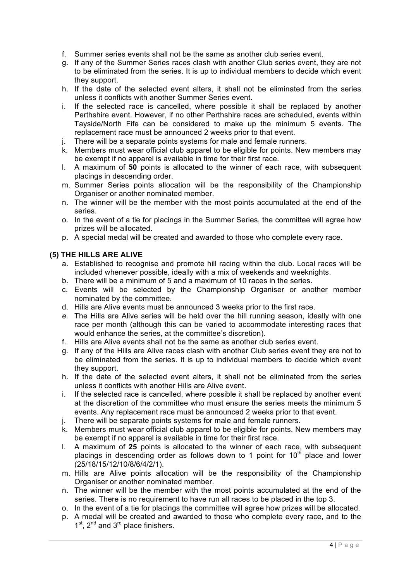- f. Summer series events shall not be the same as another club series event.
- g. If any of the Summer Series races clash with another Club series event, they are not to be eliminated from the series. It is up to individual members to decide which event they support.
- h. If the date of the selected event alters, it shall not be eliminated from the series unless it conflicts with another Summer Series event.
- i. If the selected race is cancelled, where possible it shall be replaced by another Perthshire event. However, if no other Perthshire races are scheduled, events within Tayside/North Fife can be considered to make up the minimum 5 events. The replacement race must be announced 2 weeks prior to that event.
- j. There will be a separate points systems for male and female runners.
- k. Members must wear official club apparel to be eligible for points. New members may be exempt if no apparel is available in time for their first race.
- l. A maximum of **50** points is allocated to the winner of each race, with subsequent placings in descending order.
- m. Summer Series points allocation will be the responsibility of the Championship Organiser or another nominated member.
- n. The winner will be the member with the most points accumulated at the end of the series.
- o. In the event of a tie for placings in the Summer Series, the committee will agree how prizes will be allocated.
- p. A special medal will be created and awarded to those who complete every race.

# **(5) THE HILLS ARE ALIVE**

- a. Established to recognise and promote hill racing within the club. Local races will be included whenever possible, ideally with a mix of weekends and weeknights.
- b. There will be a minimum of 5 and a maximum of 10 races in the series.
- c. Events will be selected by the Championship Organiser or another member nominated by the committee.
- d. Hills are Alive events must be announced 3 weeks prior to the first race.
- *e.* The Hills are Alive series will be held over the hill running season, ideally with one race per month (although this can be varied to accommodate interesting races that would enhance the series, at the committee's discretion)*.*
- f. Hills are Alive events shall not be the same as another club series event.
- g. If any of the Hills are Alive races clash with another Club series event they are not to be eliminated from the series. It is up to individual members to decide which event they support.
- h. If the date of the selected event alters, it shall not be eliminated from the series unless it conflicts with another Hills are Alive event.
- i. If the selected race is cancelled, where possible it shall be replaced by another event at the discretion of the committee who must ensure the series meets the minimum 5 events. Any replacement race must be announced 2 weeks prior to that event.
- j. There will be separate points systems for male and female runners.
- k. Members must wear official club apparel to be eligible for points. New members may be exempt if no apparel is available in time for their first race.
- l. A maximum of **25** points is allocated to the winner of each race, with subsequent placings in descending order as follows down to 1 point for  $10<sup>th</sup>$  place and lower (25/18/15/12/10/8/6/4/2/1).
- m. Hills are Alive points allocation will be the responsibility of the Championship Organiser or another nominated member.
- n. The winner will be the member with the most points accumulated at the end of the series. There is no requirement to have run all races to be placed in the top 3.
- o. In the event of a tie for placings the committee will agree how prizes will be allocated.
- p. A medal will be created and awarded to those who complete every race, and to the  $1<sup>st</sup>$ ,  $2<sup>nd</sup>$  and  $3<sup>rd</sup>$  place finishers.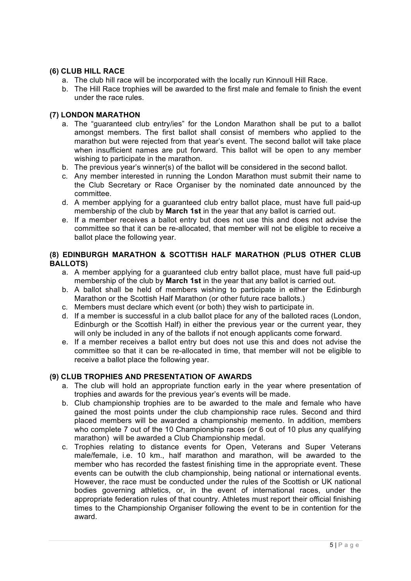# **(6) CLUB HILL RACE**

- a. The club hill race will be incorporated with the locally run Kinnoull Hill Race.
- b. The Hill Race trophies will be awarded to the first male and female to finish the event under the race rules.

# **(7) LONDON MARATHON**

- a. The "guaranteed club entry/ies" for the London Marathon shall be put to a ballot amongst members. The first ballot shall consist of members who applied to the marathon but were rejected from that year's event. The second ballot will take place when insufficient names are put forward. This ballot will be open to any member wishing to participate in the marathon.
- b. The previous year's winner(s) of the ballot will be considered in the second ballot.
- c. Any member interested in running the London Marathon must submit their name to the Club Secretary or Race Organiser by the nominated date announced by the committee.
- d. A member applying for a guaranteed club entry ballot place, must have full paid-up membership of the club by **March 1st** in the year that any ballot is carried out.
- e. If a member receives a ballot entry but does not use this and does not advise the committee so that it can be re-allocated, that member will not be eligible to receive a ballot place the following year.

# **(8) EDINBURGH MARATHON & SCOTTISH HALF MARATHON (PLUS OTHER CLUB BALLOTS)**

- a. A member applying for a guaranteed club entry ballot place, must have full paid-up membership of the club by **March 1st** in the year that any ballot is carried out.
- b. A ballot shall be held of members wishing to participate in either the Edinburgh Marathon or the Scottish Half Marathon (or other future race ballots.)
- c. Members must declare which event (or both) they wish to participate in.
- d. If a member is successful in a club ballot place for any of the balloted races (London, Edinburgh or the Scottish Half) in either the previous year or the current year, they will only be included in any of the ballots if not enough applicants come forward.
- e. If a member receives a ballot entry but does not use this and does not advise the committee so that it can be re-allocated in time, that member will not be eligible to receive a ballot place the following year.

# **(9) CLUB TROPHIES AND PRESENTATION OF AWARDS**

- a. The club will hold an appropriate function early in the year where presentation of trophies and awards for the previous year's events will be made.
- b. Club championship trophies are to be awarded to the male and female who have gained the most points under the club championship race rules. Second and third placed members will be awarded a championship memento. In addition, members who complete 7 out of the 10 Championship races (or 6 out of 10 plus any qualifying marathon) will be awarded a Club Championship medal.
- c. Trophies relating to distance events for Open, Veterans and Super Veterans male/female, i.e. 10 km., half marathon and marathon, will be awarded to the member who has recorded the fastest finishing time in the appropriate event. These events can be outwith the club championship, being national or international events. However, the race must be conducted under the rules of the Scottish or UK national bodies governing athletics, or, in the event of international races, under the appropriate federation rules of that country. Athletes must report their official finishing times to the Championship Organiser following the event to be in contention for the award.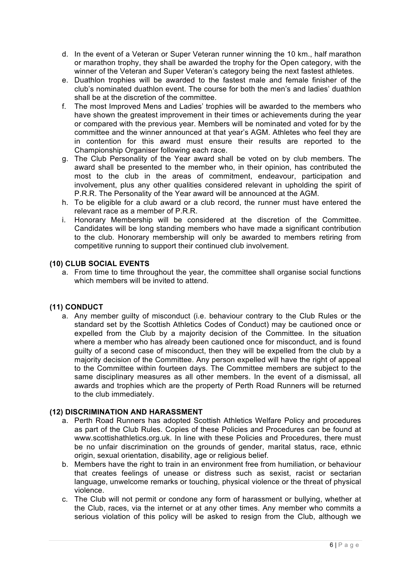- d. In the event of a Veteran or Super Veteran runner winning the 10 km., half marathon or marathon trophy, they shall be awarded the trophy for the Open category, with the winner of the Veteran and Super Veteran's category being the next fastest athletes.
- e. Duathlon trophies will be awarded to the fastest male and female finisher of the club's nominated duathlon event. The course for both the men's and ladies' duathlon shall be at the discretion of the committee.
- f. The most Improved Mens and Ladies' trophies will be awarded to the members who have shown the greatest improvement in their times or achievements during the year or compared with the previous year. Members will be nominated and voted for by the committee and the winner announced at that year's AGM. Athletes who feel they are in contention for this award must ensure their results are reported to the Championship Organiser following each race.
- g. The Club Personality of the Year award shall be voted on by club members. The award shall be presented to the member who, in their opinion, has contributed the most to the club in the areas of commitment, endeavour, participation and involvement, plus any other qualities considered relevant in upholding the spirit of P.R.R. The Personality of the Year award will be announced at the AGM.
- h. To be eligible for a club award or a club record, the runner must have entered the relevant race as a member of P.R.R.
- i. Honorary Membership will be considered at the discretion of the Committee. Candidates will be long standing members who have made a significant contribution to the club. Honorary membership will only be awarded to members retiring from competitive running to support their continued club involvement.

# **(10) CLUB SOCIAL EVENTS**

a. From time to time throughout the year, the committee shall organise social functions which members will be invited to attend.

# **(11) CONDUCT**

a. Any member guilty of misconduct (i.e. behaviour contrary to the Club Rules or the standard set by the Scottish Athletics Codes of Conduct) may be cautioned once or expelled from the Club by a majority decision of the Committee. In the situation where a member who has already been cautioned once for misconduct, and is found guilty of a second case of misconduct, then they will be expelled from the club by a majority decision of the Committee. Any person expelled will have the right of appeal to the Committee within fourteen days. The Committee members are subject to the same disciplinary measures as all other members. In the event of a dismissal, all awards and trophies which are the property of Perth Road Runners will be returned to the club immediately.

# **(12) DISCRIMINATION AND HARASSMENT**

- a. Perth Road Runners has adopted Scottish Athletics Welfare Policy and procedures as part of the Club Rules. Copies of these Policies and Procedures can be found at www.scottishathletics.org.uk. In line with these Policies and Procedures, there must be no unfair discrimination on the grounds of gender, marital status, race, ethnic origin, sexual orientation, disability, age or religious belief.
- b. Members have the right to train in an environment free from humiliation, or behaviour that creates feelings of unease or distress such as sexist, racist or sectarian language, unwelcome remarks or touching, physical violence or the threat of physical violence.
- c. The Club will not permit or condone any form of harassment or bullying, whether at the Club, races, via the internet or at any other times. Any member who commits a serious violation of this policy will be asked to resign from the Club, although we